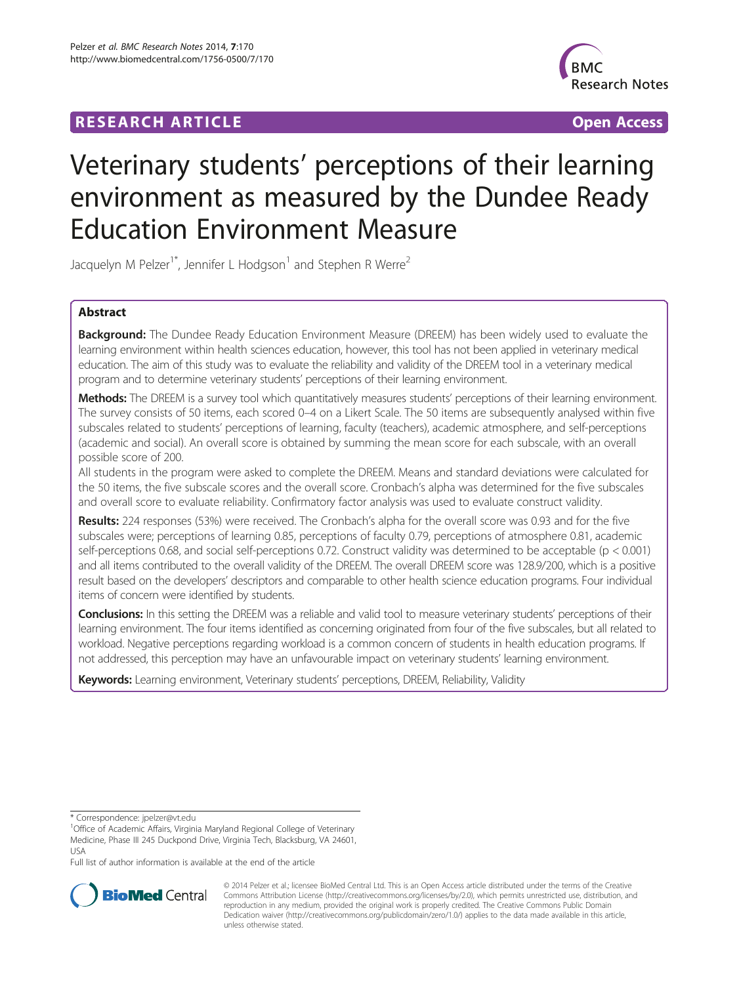## **RESEARCH ARTICLE Example 2018 12:00 Department of the CONNECTION CONNECTION CONNECTION CONNECTION**



# Veterinary students' perceptions of their learning environment as measured by the Dundee Ready Education Environment Measure

Jacquelyn M Pelzer<sup>1\*</sup>, Jennifer L Hodgson<sup>1</sup> and Stephen R Werre<sup>2</sup>

### Abstract

Background: The Dundee Ready Education Environment Measure (DREEM) has been widely used to evaluate the learning environment within health sciences education, however, this tool has not been applied in veterinary medical education. The aim of this study was to evaluate the reliability and validity of the DREEM tool in a veterinary medical program and to determine veterinary students' perceptions of their learning environment.

Methods: The DREEM is a survey tool which quantitatively measures students' perceptions of their learning environment. The survey consists of 50 items, each scored 0–4 on a Likert Scale. The 50 items are subsequently analysed within five subscales related to students' perceptions of learning, faculty (teachers), academic atmosphere, and self-perceptions (academic and social). An overall score is obtained by summing the mean score for each subscale, with an overall possible score of 200.

All students in the program were asked to complete the DREEM. Means and standard deviations were calculated for the 50 items, the five subscale scores and the overall score. Cronbach's alpha was determined for the five subscales and overall score to evaluate reliability. Confirmatory factor analysis was used to evaluate construct validity.

Results: 224 responses (53%) were received. The Cronbach's alpha for the overall score was 0.93 and for the five subscales were; perceptions of learning 0.85, perceptions of faculty 0.79, perceptions of atmosphere 0.81, academic self-perceptions 0.68, and social self-perceptions 0.72. Construct validity was determined to be acceptable (p < 0.001) and all items contributed to the overall validity of the DREEM. The overall DREEM score was 128.9/200, which is a positive result based on the developers' descriptors and comparable to other health science education programs. Four individual items of concern were identified by students.

Conclusions: In this setting the DREEM was a reliable and valid tool to measure veterinary students' perceptions of their learning environment. The four items identified as concerning originated from four of the five subscales, but all related to workload. Negative perceptions regarding workload is a common concern of students in health education programs. If not addressed, this perception may have an unfavourable impact on veterinary students' learning environment.

Keywords: Learning environment, Veterinary students' perceptions, DREEM, Reliability, Validity

\* Correspondence: [jpelzer@vt.edu](mailto:jpelzer@vt.edu) <sup>1</sup>

Full list of author information is available at the end of the article



© 2014 Pelzer et al.; licensee BioMed Central Ltd. This is an Open Access article distributed under the terms of the Creative Commons Attribution License [\(http://creativecommons.org/licenses/by/2.0\)](http://creativecommons.org/licenses/by/2.0), which permits unrestricted use, distribution, and reproduction in any medium, provided the original work is properly credited. The Creative Commons Public Domain Dedication waiver [\(http://creativecommons.org/publicdomain/zero/1.0/](http://creativecommons.org/publicdomain/zero/1.0/)) applies to the data made available in this article, unless otherwise stated.

<sup>&</sup>lt;sup>1</sup>Office of Academic Affairs, Virginia Maryland Regional College of Veterinary Medicine, Phase III 245 Duckpond Drive, Virginia Tech, Blacksburg, VA 24601, USA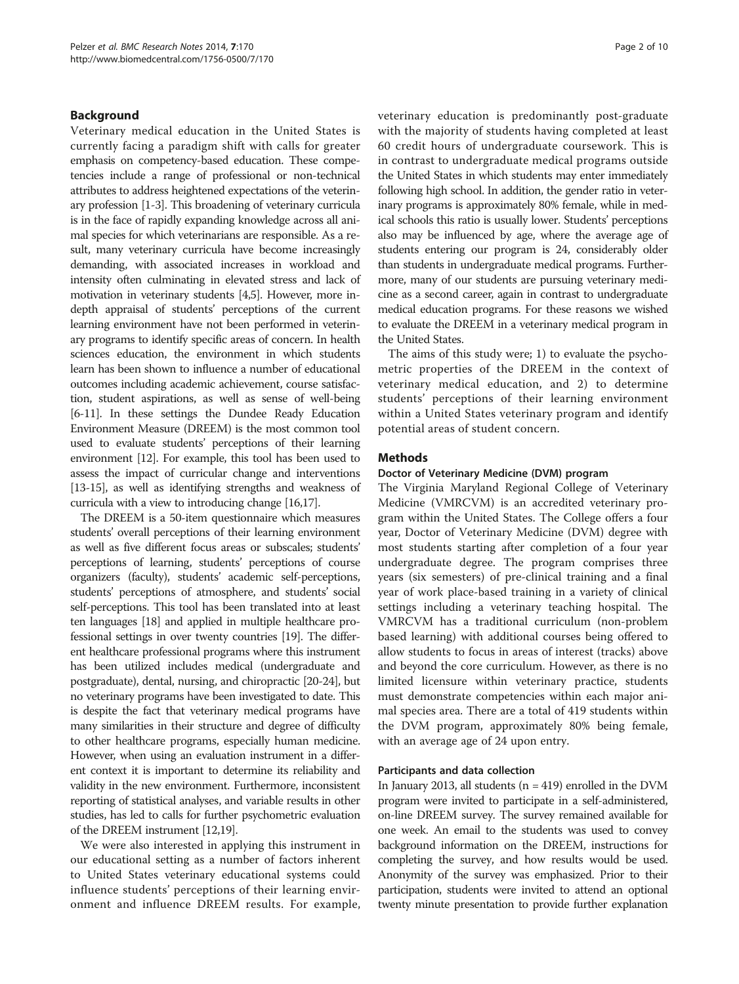#### Background

Veterinary medical education in the United States is currently facing a paradigm shift with calls for greater emphasis on competency-based education. These competencies include a range of professional or non-technical attributes to address heightened expectations of the veterinary profession [\[1-3\]](#page-7-0). This broadening of veterinary curricula is in the face of rapidly expanding knowledge across all animal species for which veterinarians are responsible. As a result, many veterinary curricula have become increasingly demanding, with associated increases in workload and intensity often culminating in elevated stress and lack of motivation in veterinary students [\[4](#page-7-0)[,5\]](#page-8-0). However, more indepth appraisal of students' perceptions of the current learning environment have not been performed in veterinary programs to identify specific areas of concern. In health sciences education, the environment in which students learn has been shown to influence a number of educational outcomes including academic achievement, course satisfaction, student aspirations, as well as sense of well-being [[6](#page-8-0)-[11](#page-8-0)]. In these settings the Dundee Ready Education Environment Measure (DREEM) is the most common tool used to evaluate students' perceptions of their learning environment [\[12\]](#page-8-0). For example, this tool has been used to assess the impact of curricular change and interventions [[13](#page-8-0)-[15\]](#page-8-0), as well as identifying strengths and weakness of curricula with a view to introducing change [\[16,17](#page-8-0)].

The DREEM is a 50-item questionnaire which measures students' overall perceptions of their learning environment as well as five different focus areas or subscales; students' perceptions of learning, students' perceptions of course organizers (faculty), students' academic self-perceptions, students' perceptions of atmosphere, and students' social self-perceptions. This tool has been translated into at least ten languages [\[18\]](#page-8-0) and applied in multiple healthcare professional settings in over twenty countries [\[19](#page-8-0)]. The different healthcare professional programs where this instrument has been utilized includes medical (undergraduate and postgraduate), dental, nursing, and chiropractic [\[20-24\]](#page-8-0), but no veterinary programs have been investigated to date. This is despite the fact that veterinary medical programs have many similarities in their structure and degree of difficulty to other healthcare programs, especially human medicine. However, when using an evaluation instrument in a different context it is important to determine its reliability and validity in the new environment. Furthermore, inconsistent reporting of statistical analyses, and variable results in other studies, has led to calls for further psychometric evaluation of the DREEM instrument [\[12,19\]](#page-8-0).

We were also interested in applying this instrument in our educational setting as a number of factors inherent to United States veterinary educational systems could influence students' perceptions of their learning environment and influence DREEM results. For example, veterinary education is predominantly post-graduate with the majority of students having completed at least 60 credit hours of undergraduate coursework. This is in contrast to undergraduate medical programs outside the United States in which students may enter immediately following high school. In addition, the gender ratio in veterinary programs is approximately 80% female, while in medical schools this ratio is usually lower. Students' perceptions also may be influenced by age, where the average age of students entering our program is 24, considerably older than students in undergraduate medical programs. Furthermore, many of our students are pursuing veterinary medicine as a second career, again in contrast to undergraduate medical education programs. For these reasons we wished to evaluate the DREEM in a veterinary medical program in the United States.

The aims of this study were; 1) to evaluate the psychometric properties of the DREEM in the context of veterinary medical education, and 2) to determine students' perceptions of their learning environment within a United States veterinary program and identify potential areas of student concern.

#### **Methods**

#### Doctor of Veterinary Medicine (DVM) program

The Virginia Maryland Regional College of Veterinary Medicine (VMRCVM) is an accredited veterinary program within the United States. The College offers a four year, Doctor of Veterinary Medicine (DVM) degree with most students starting after completion of a four year undergraduate degree. The program comprises three years (six semesters) of pre-clinical training and a final year of work place-based training in a variety of clinical settings including a veterinary teaching hospital. The VMRCVM has a traditional curriculum (non-problem based learning) with additional courses being offered to allow students to focus in areas of interest (tracks) above and beyond the core curriculum. However, as there is no limited licensure within veterinary practice, students must demonstrate competencies within each major animal species area. There are a total of 419 students within the DVM program, approximately 80% being female, with an average age of 24 upon entry.

#### Participants and data collection

In January 2013, all students  $(n = 419)$  enrolled in the DVM program were invited to participate in a self-administered, on-line DREEM survey. The survey remained available for one week. An email to the students was used to convey background information on the DREEM, instructions for completing the survey, and how results would be used. Anonymity of the survey was emphasized. Prior to their participation, students were invited to attend an optional twenty minute presentation to provide further explanation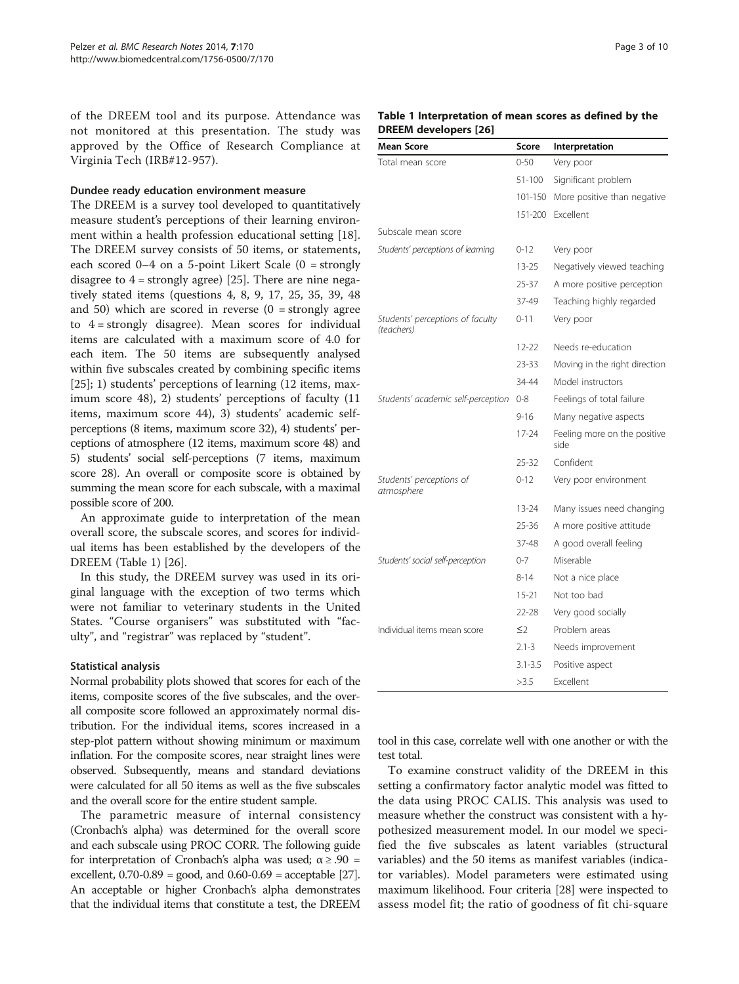<span id="page-2-0"></span>of the DREEM tool and its purpose. Attendance was not monitored at this presentation. The study was approved by the Office of Research Compliance at Virginia Tech (IRB#12-957).

#### Dundee ready education environment measure

The DREEM is a survey tool developed to quantitatively measure student's perceptions of their learning environment within a health profession educational setting [\[18](#page-8-0)]. The DREEM survey consists of 50 items, or statements, each scored  $0-4$  on a 5-point Likert Scale  $(0 =$  strongly disagree to  $4 =$  strongly agree) [[25\]](#page-8-0). There are nine negatively stated items (questions 4, 8, 9, 17, 25, 35, 39, 48 and 50) which are scored in reverse  $(0 =$  strongly agree to  $4 =$  strongly disagree). Mean scores for individual items are calculated with a maximum score of 4.0 for each item. The 50 items are subsequently analysed within five subscales created by combining specific items [[25\]](#page-8-0); 1) students' perceptions of learning (12 items, maximum score 48), 2) students' perceptions of faculty (11 items, maximum score 44), 3) students' academic selfperceptions (8 items, maximum score 32), 4) students' perceptions of atmosphere (12 items, maximum score 48) and 5) students' social self-perceptions (7 items, maximum score 28). An overall or composite score is obtained by summing the mean score for each subscale, with a maximal possible score of 200.

An approximate guide to interpretation of the mean overall score, the subscale scores, and scores for individual items has been established by the developers of the DREEM (Table 1) [[26](#page-8-0)].

In this study, the DREEM survey was used in its original language with the exception of two terms which were not familiar to veterinary students in the United States. "Course organisers" was substituted with "faculty", and "registrar" was replaced by "student".

#### Statistical analysis

Normal probability plots showed that scores for each of the items, composite scores of the five subscales, and the overall composite score followed an approximately normal distribution. For the individual items, scores increased in a step-plot pattern without showing minimum or maximum inflation. For the composite scores, near straight lines were observed. Subsequently, means and standard deviations were calculated for all 50 items as well as the five subscales and the overall score for the entire student sample.

The parametric measure of internal consistency (Cronbach's alpha) was determined for the overall score and each subscale using PROC CORR. The following guide for interpretation of Cronbach's alpha was used;  $\alpha \ge .90$  = excellent,  $0.70 - 0.89 = \text{good}$ , and  $0.60 - 0.69 = \text{acceptable}$  [\[27](#page-8-0)]. An acceptable or higher Cronbach's alpha demonstrates that the individual items that constitute a test, the DREEM

| Page 3 of 10 |  |
|--------------|--|
|              |  |

#### Table 1 Interpretation of mean scores as defined by the DREEM developers [[26\]](#page-8-0)

| <b>Mean Score</b>                              | Score       | Interpretation                       |
|------------------------------------------------|-------------|--------------------------------------|
| Total mean score                               | $0 - 50$    | Very poor                            |
|                                                | $51 - 100$  | Significant problem                  |
|                                                | 101-150     | More positive than negative          |
|                                                | 151-200     | Excellent                            |
| Subscale mean score                            |             |                                      |
| Students' perceptions of learning              | $0 - 12$    | Very poor                            |
|                                                | $13 - 25$   | Negatively viewed teaching           |
|                                                | $25 - 37$   | A more positive perception           |
|                                                | 37-49       | Teaching highly regarded             |
| Students' perceptions of faculty<br>(teachers) | $0 - 11$    | Very poor                            |
|                                                | $12 - 22$   | Needs re-education                   |
|                                                | 23-33       | Moving in the right direction        |
|                                                | 34-44       | Model instructors                    |
| Students' academic self-perception             | $0 - 8$     | Feelings of total failure            |
|                                                | $9 - 16$    | Many negative aspects                |
|                                                | $17 - 24$   | Feeling more on the positive<br>side |
|                                                | 25-32       | Confident                            |
| Students' perceptions of<br>atmosphere         | $0 - 12$    | Very poor environment                |
|                                                | $13 - 24$   | Many issues need changing            |
|                                                | $25 - 36$   | A more positive attitude             |
|                                                | $37 - 48$   | A good overall feeling               |
| Students' social self-perception               | $0 - 7$     | Miserable                            |
|                                                | $8 - 14$    | Not a nice place                     |
|                                                | $15 - 21$   | Not too bad                          |
|                                                | $22 - 28$   | Very good socially                   |
| Individual items mean score                    | $\leq$      | Problem areas                        |
|                                                | $2.1 - 3$   | Needs improvement                    |
|                                                | $3.1 - 3.5$ | Positive aspect                      |
|                                                | >3.5        | Excellent                            |

tool in this case, correlate well with one another or with the test total.

To examine construct validity of the DREEM in this setting a confirmatory factor analytic model was fitted to the data using PROC CALIS. This analysis was used to measure whether the construct was consistent with a hypothesized measurement model. In our model we specified the five subscales as latent variables (structural variables) and the 50 items as manifest variables (indicator variables). Model parameters were estimated using maximum likelihood. Four criteria [[28](#page-8-0)] were inspected to assess model fit; the ratio of goodness of fit chi-square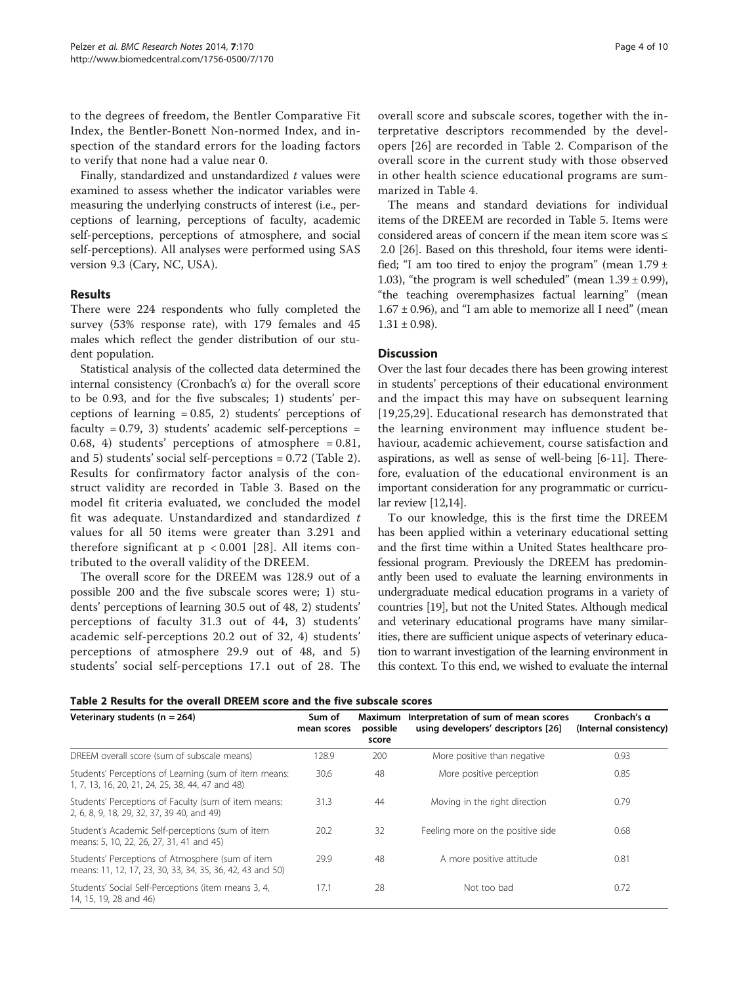<span id="page-3-0"></span>to the degrees of freedom, the Bentler Comparative Fit Index, the Bentler-Bonett Non-normed Index, and inspection of the standard errors for the loading factors to verify that none had a value near 0.

Finally, standardized and unstandardized t values were examined to assess whether the indicator variables were measuring the underlying constructs of interest (i.e., perceptions of learning, perceptions of faculty, academic self-perceptions, perceptions of atmosphere, and social self-perceptions). All analyses were performed using SAS version 9.3 (Cary, NC, USA).

#### Results

There were 224 respondents who fully completed the survey (53% response rate), with 179 females and 45 males which reflect the gender distribution of our student population.

Statistical analysis of the collected data determined the internal consistency (Cronbach's α) for the overall score to be 0.93, and for the five subscales; 1) students' perceptions of learning  $= 0.85, 2$ ) students' perceptions of faculty =  $0.79$ , 3) students' academic self-perceptions = 0.68, 4) students' perceptions of atmosphere = 0.81, and 5) students' social self-perceptions = 0.72 (Table 2). Results for confirmatory factor analysis of the construct validity are recorded in Table [3](#page-4-0). Based on the model fit criteria evaluated, we concluded the model fit was adequate. Unstandardized and standardized  $t$ values for all 50 items were greater than 3.291 and therefore significant at  $p < 0.001$  [[28](#page-8-0)]. All items contributed to the overall validity of the DREEM.

The overall score for the DREEM was 128.9 out of a possible 200 and the five subscale scores were; 1) students' perceptions of learning 30.5 out of 48, 2) students' perceptions of faculty 31.3 out of 44, 3) students' academic self-perceptions 20.2 out of 32, 4) students' perceptions of atmosphere 29.9 out of 48, and 5) students' social self-perceptions 17.1 out of 28. The overall score and subscale scores, together with the interpretative descriptors recommended by the developers [[26\]](#page-8-0) are recorded in Table 2. Comparison of the overall score in the current study with those observed in other health science educational programs are summarized in Table [4](#page-5-0).

The means and standard deviations for individual items of the DREEM are recorded in Table [5](#page-6-0). Items were considered areas of concern if the mean item score was ≤ 2.0 [[26](#page-8-0)]. Based on this threshold, four items were identified; "I am too tired to enjoy the program" (mean  $1.79 \pm$ 1.03), "the program is well scheduled" (mean  $1.39 \pm 0.99$ ), "the teaching overemphasizes factual learning" (mean  $1.67 \pm 0.96$ ), and "I am able to memorize all I need" (mean  $1.31 \pm 0.98$ ).

#### **Discussion**

Over the last four decades there has been growing interest in students' perceptions of their educational environment and the impact this may have on subsequent learning [[19](#page-8-0),[25,29](#page-8-0)]. Educational research has demonstrated that the learning environment may influence student behaviour, academic achievement, course satisfaction and aspirations, as well as sense of well-being [\[6-11](#page-8-0)]. Therefore, evaluation of the educational environment is an important consideration for any programmatic or curricular review [\[12,14\]](#page-8-0).

To our knowledge, this is the first time the DREEM has been applied within a veterinary educational setting and the first time within a United States healthcare professional program. Previously the DREEM has predominantly been used to evaluate the learning environments in undergraduate medical education programs in a variety of countries [[19](#page-8-0)], but not the United States. Although medical and veterinary educational programs have many similarities, there are sufficient unique aspects of veterinary education to warrant investigation of the learning environment in this context. To this end, we wished to evaluate the internal

Table 2 Results for the overall DREEM score and the five subscale scores

| Veterinary students ( $n = 264$ )                                                                             | Sum of<br>mean scores | <b>Maximum</b><br>possible<br>score | Interpretation of sum of mean scores<br>using developers' descriptors [26] | Cronbach's a<br>(Internal consistency) |
|---------------------------------------------------------------------------------------------------------------|-----------------------|-------------------------------------|----------------------------------------------------------------------------|----------------------------------------|
| DREEM overall score (sum of subscale means)                                                                   | 128.9                 | 200                                 | More positive than negative                                                | 0.93                                   |
| Students' Perceptions of Learning (sum of item means:<br>1, 7, 13, 16, 20, 21, 24, 25, 38, 44, 47 and 48)     | 30.6                  | 48                                  | More positive perception                                                   | 0.85                                   |
| Students' Perceptions of Faculty (sum of item means:<br>2, 6, 8, 9, 18, 29, 32, 37, 39 40, and 49)            | 31.3                  | 44                                  | Moving in the right direction                                              | 0.79                                   |
| Student's Academic Self-perceptions (sum of item<br>means: 5, 10, 22, 26, 27, 31, 41 and 45)                  | 20.2                  | 32                                  | Feeling more on the positive side                                          | 0.68                                   |
| Students' Perceptions of Atmosphere (sum of item<br>means: 11, 12, 17, 23, 30, 33, 34, 35, 36, 42, 43 and 50) | 29.9                  | 48                                  | A more positive attitude                                                   | 0.81                                   |
| Students' Social Self-Perceptions (item means 3, 4,<br>14, 15, 19, 28 and 46)                                 | 17.1                  | 28                                  | Not too bad                                                                | 0.72                                   |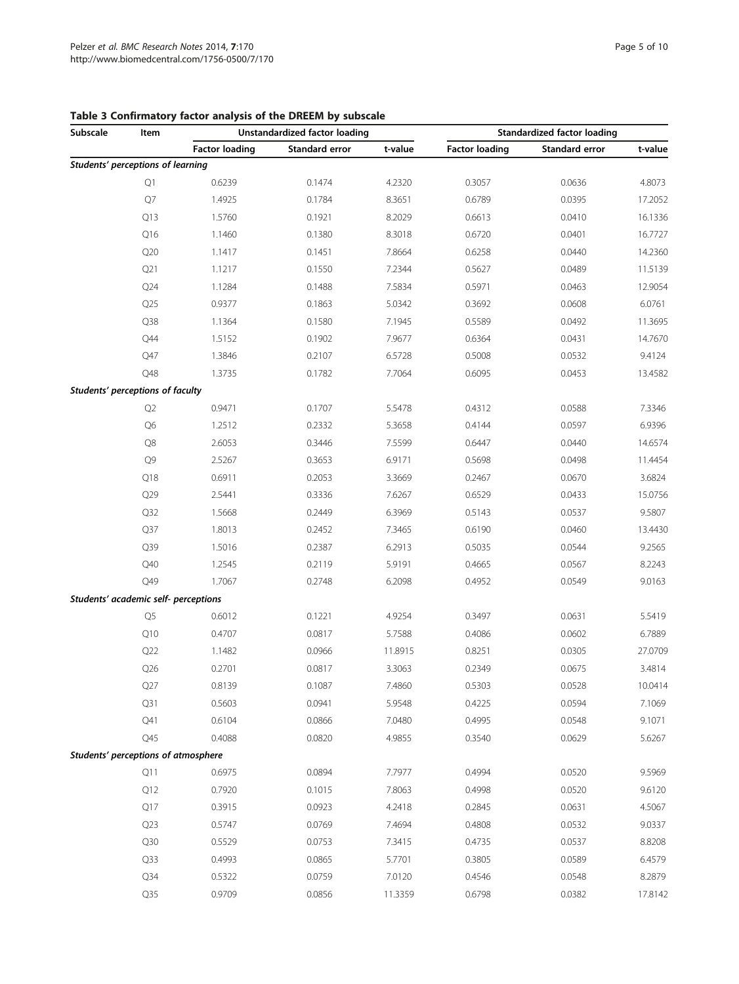| Subscale                             | Item           |                       | Unstandardized factor loading |         | <b>Standardized factor loading</b> |                |         |
|--------------------------------------|----------------|-----------------------|-------------------------------|---------|------------------------------------|----------------|---------|
|                                      |                | <b>Factor loading</b> | <b>Standard error</b>         | t-value | <b>Factor loading</b>              | Standard error | t-value |
| Students' perceptions of learning    |                |                       |                               |         |                                    |                |         |
|                                      | Q1             | 0.6239                | 0.1474                        | 4.2320  | 0.3057                             | 0.0636         | 4.8073  |
|                                      | Q7             | 1.4925                | 0.1784                        | 8.3651  | 0.6789                             | 0.0395         | 17.2052 |
|                                      | Q13            | 1.5760                | 0.1921                        | 8.2029  | 0.6613                             | 0.0410         | 16.1336 |
|                                      | Q16            | 1.1460                | 0.1380                        | 8.3018  | 0.6720                             | 0.0401         | 16.7727 |
|                                      | Q20            | 1.1417                | 0.1451                        | 7.8664  | 0.6258                             | 0.0440         | 14.2360 |
|                                      | Q21            | 1.1217                | 0.1550                        | 7.2344  | 0.5627                             | 0.0489         | 11.5139 |
|                                      | Q24            | 1.1284                | 0.1488                        | 7.5834  | 0.5971                             | 0.0463         | 12.9054 |
|                                      | Q25            | 0.9377                | 0.1863                        | 5.0342  | 0.3692                             | 0.0608         | 6.0761  |
|                                      | Q38            | 1.1364                | 0.1580                        | 7.1945  | 0.5589                             | 0.0492         | 11.3695 |
|                                      | Q44            | 1.5152                | 0.1902                        | 7.9677  | 0.6364                             | 0.0431         | 14.7670 |
|                                      | Q47            | 1.3846                | 0.2107                        | 6.5728  | 0.5008                             | 0.0532         | 9.4124  |
|                                      | Q48            | 1.3735                | 0.1782                        | 7.7064  | 0.6095                             | 0.0453         | 13.4582 |
| Students' perceptions of faculty     |                |                       |                               |         |                                    |                |         |
|                                      | Q2             | 0.9471                | 0.1707                        | 5.5478  | 0.4312                             | 0.0588         | 7.3346  |
|                                      | Q6             | 1.2512                | 0.2332                        | 5.3658  | 0.4144                             | 0.0597         | 6.9396  |
|                                      | Q8             | 2.6053                | 0.3446                        | 7.5599  | 0.6447                             | 0.0440         | 14.6574 |
|                                      | Q9             | 2.5267                | 0.3653                        | 6.9171  | 0.5698                             | 0.0498         | 11.4454 |
|                                      | Q18            | 0.6911                | 0.2053                        | 3.3669  | 0.2467                             | 0.0670         | 3.6824  |
|                                      | Q29            | 2.5441                | 0.3336                        | 7.6267  | 0.6529                             | 0.0433         | 15.0756 |
|                                      | Q32            | 1.5668                | 0.2449                        | 6.3969  | 0.5143                             | 0.0537         | 9.5807  |
|                                      | Q37            | 1.8013                | 0.2452                        | 7.3465  | 0.6190                             | 0.0460         | 13.4430 |
|                                      | Q39            | 1.5016                | 0.2387                        | 6.2913  | 0.5035                             | 0.0544         | 9.2565  |
|                                      | Q40            | 1.2545                | 0.2119                        | 5.9191  | 0.4665                             | 0.0567         | 8.2243  |
|                                      | Q49            | 1.7067                | 0.2748                        | 6.2098  | 0.4952                             | 0.0549         | 9.0163  |
| Students' academic self- perceptions |                |                       |                               |         |                                    |                |         |
|                                      | Q <sub>5</sub> | 0.6012                | 0.1221                        | 4.9254  | 0.3497                             | 0.0631         | 5.5419  |
|                                      | Q10            | 0.4707                | 0.0817                        | 5.7588  | 0.4086                             | 0.0602         | 6.7889  |
|                                      | Q22            | 1.1482                | 0.0966                        | 11.8915 | 0.8251                             | 0.0305         | 27.0709 |
|                                      | Q26            | 0.2701                | 0.0817                        | 3.3063  | 0.2349                             | 0.0675         | 3.4814  |
|                                      | Q27            | 0.8139                | 0.1087                        | 7.4860  | 0.5303                             | 0.0528         | 10.0414 |
|                                      | Q31            | 0.5603                | 0.0941                        | 5.9548  | 0.4225                             | 0.0594         | 7.1069  |
|                                      | Q41            | 0.6104                | 0.0866                        | 7.0480  | 0.4995                             | 0.0548         | 9.1071  |
|                                      | Q45            | 0.4088                | 0.0820                        | 4.9855  | 0.3540                             | 0.0629         | 5.6267  |
| Students' perceptions of atmosphere  |                |                       |                               |         |                                    |                |         |
|                                      | Q11            | 0.6975                | 0.0894                        | 7.7977  | 0.4994                             | 0.0520         | 9.5969  |
|                                      | Q12            | 0.7920                | 0.1015                        | 7.8063  | 0.4998                             | 0.0520         | 9.6120  |
|                                      | Q17            | 0.3915                | 0.0923                        | 4.2418  | 0.2845                             | 0.0631         | 4.5067  |
|                                      | Q23            | 0.5747                | 0.0769                        | 7.4694  | 0.4808                             | 0.0532         | 9.0337  |
|                                      | Q30            | 0.5529                | 0.0753                        | 7.3415  | 0.4735                             | 0.0537         | 8.8208  |
|                                      | Q33            | 0.4993                | 0.0865                        | 5.7701  | 0.3805                             | 0.0589         | 6.4579  |
|                                      | $Q$ 34         | 0.5322                | 0.0759                        | 7.0120  | 0.4546                             | 0.0548         | 8.2879  |
|                                      | Q35            | 0.9709                | 0.0856                        | 11.3359 | 0.6798                             | 0.0382         | 17.8142 |

#### <span id="page-4-0"></span>Table 3 Confirmatory factor analysis of the DREEM by subscale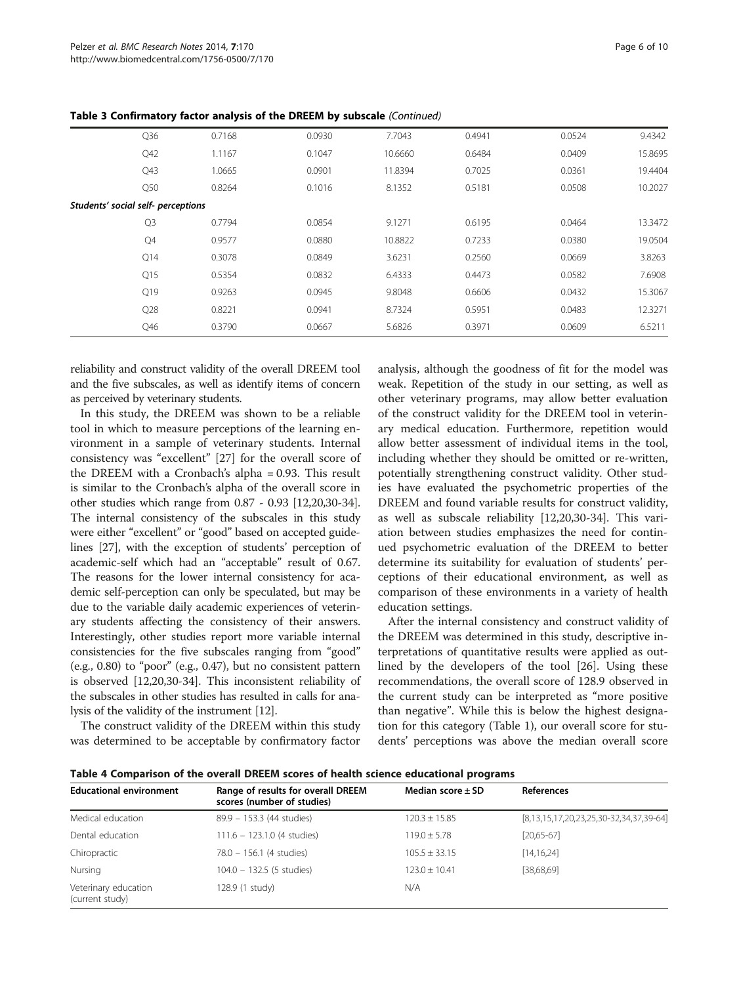| Q <sub>36</sub>                    | 0.7168 | 0.0930 | 7.7043  | 0.4941 | 0.0524 | 9.4342  |
|------------------------------------|--------|--------|---------|--------|--------|---------|
| Q42                                | 1.1167 | 0.1047 | 10.6660 | 0.6484 | 0.0409 | 15.8695 |
| Q43                                | 1.0665 | 0.0901 | 11.8394 | 0.7025 | 0.0361 | 19.4404 |
| Q50                                | 0.8264 | 0.1016 | 8.1352  | 0.5181 | 0.0508 | 10.2027 |
| Students' social self- perceptions |        |        |         |        |        |         |
| Q <sub>3</sub>                     | 0.7794 | 0.0854 | 9.1271  | 0.6195 | 0.0464 | 13.3472 |
| Q4                                 | 0.9577 | 0.0880 | 10.8822 | 0.7233 | 0.0380 | 19.0504 |
| Q14                                | 0.3078 | 0.0849 | 3.6231  | 0.2560 | 0.0669 | 3.8263  |
| Q15                                | 0.5354 | 0.0832 | 6.4333  | 0.4473 | 0.0582 | 7.6908  |
| Q19                                | 0.9263 | 0.0945 | 9.8048  | 0.6606 | 0.0432 | 15.3067 |
| Q28                                | 0.8221 | 0.0941 | 8.7324  | 0.5951 | 0.0483 | 12.3271 |
| Q46                                | 0.3790 | 0.0667 | 5.6826  | 0.3971 | 0.0609 | 6.5211  |

<span id="page-5-0"></span>Table 3 Confirmatory factor analysis of the DREEM by subscale (Continued)

reliability and construct validity of the overall DREEM tool and the five subscales, as well as identify items of concern as perceived by veterinary students.

In this study, the DREEM was shown to be a reliable tool in which to measure perceptions of the learning environment in a sample of veterinary students. Internal consistency was "excellent" [[27\]](#page-8-0) for the overall score of the DREEM with a Cronbach's alpha = 0.93. This result is similar to the Cronbach's alpha of the overall score in other studies which range from 0.87 - 0.93 [\[12,20,30](#page-8-0)-[34](#page-8-0)]. The internal consistency of the subscales in this study were either "excellent" or "good" based on accepted guidelines [\[27](#page-8-0)], with the exception of students' perception of academic-self which had an "acceptable" result of 0.67. The reasons for the lower internal consistency for academic self-perception can only be speculated, but may be due to the variable daily academic experiences of veterinary students affecting the consistency of their answers. Interestingly, other studies report more variable internal consistencies for the five subscales ranging from "good" (e.g., 0.80) to "poor" (e.g., 0.47), but no consistent pattern is observed [[12,20,30-34\]](#page-8-0). This inconsistent reliability of the subscales in other studies has resulted in calls for analysis of the validity of the instrument [[12](#page-8-0)].

The construct validity of the DREEM within this study was determined to be acceptable by confirmatory factor

analysis, although the goodness of fit for the model was weak. Repetition of the study in our setting, as well as other veterinary programs, may allow better evaluation of the construct validity for the DREEM tool in veterinary medical education. Furthermore, repetition would allow better assessment of individual items in the tool, including whether they should be omitted or re-written, potentially strengthening construct validity. Other studies have evaluated the psychometric properties of the DREEM and found variable results for construct validity, as well as subscale reliability [[12,20,30-34\]](#page-8-0). This variation between studies emphasizes the need for continued psychometric evaluation of the DREEM to better determine its suitability for evaluation of students' perceptions of their educational environment, as well as comparison of these environments in a variety of health education settings.

After the internal consistency and construct validity of the DREEM was determined in this study, descriptive interpretations of quantitative results were applied as outlined by the developers of the tool [\[26\]](#page-8-0). Using these recommendations, the overall score of 128.9 observed in the current study can be interpreted as "more positive than negative". While this is below the highest designation for this category (Table [1\)](#page-2-0), our overall score for students' perceptions was above the median overall score

| <b>Educational environment</b>          | Range of results for overall DREEM<br>scores (number of studies) | Median score $\pm$ SD | <b>References</b>                       |
|-----------------------------------------|------------------------------------------------------------------|-----------------------|-----------------------------------------|
| Medical education                       | 89.9 - 153.3 (44 studies)                                        | $120.3 \pm 15.85$     | [8,13,15,17,20,23,25,30-32,34,37,39-64] |
| Dental education                        | $111.6 - 123.1.0$ (4 studies)                                    | $119.0 \pm 5.78$      | $[20,65 - 67]$                          |
| Chiropractic                            | 78.0 - 156.1 (4 studies)                                         | $105.5 \pm 33.15$     | [14, 16, 24]                            |
| Nursing                                 | $104.0 - 132.5$ (5 studies)                                      | $123.0 \pm 10.41$     | [38,68,69]                              |
| Veterinary education<br>(current study) | 128.9 (1 study)                                                  | N/A                   |                                         |

Table 4 Comparison of the overall DREEM scores of health science educational programs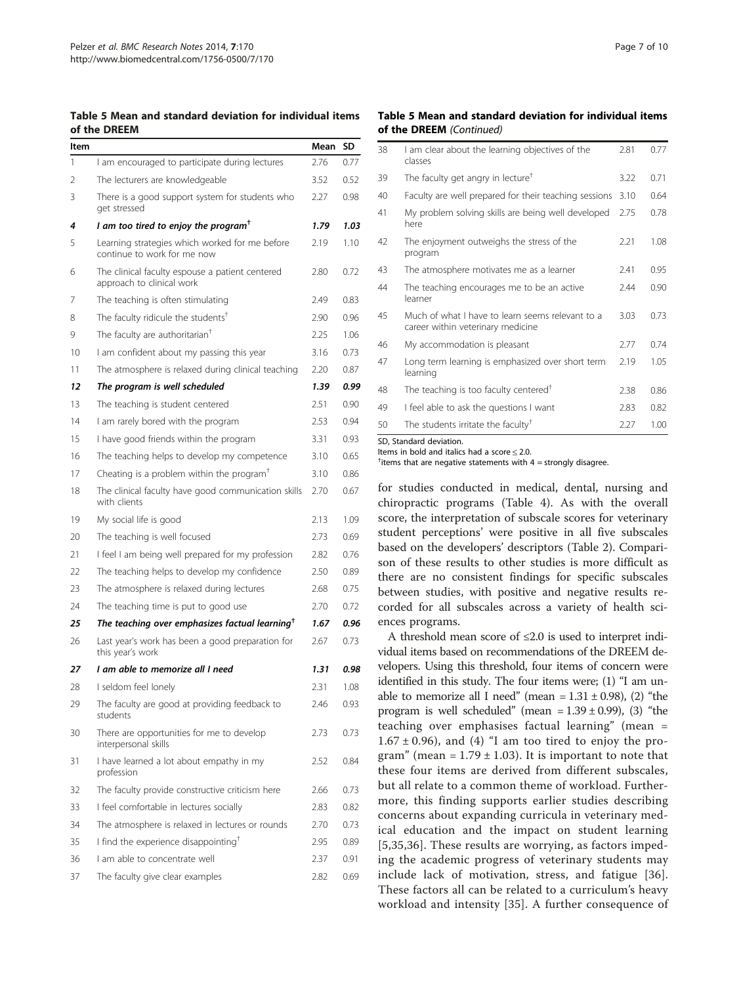<span id="page-6-0"></span>Table 5 Mean and standard deviation for individual items of the DREEM

| Item |                                                                               | Mean | SD   |
|------|-------------------------------------------------------------------------------|------|------|
| 1    | I am encouraged to participate during lectures                                | 2.76 | 0.77 |
| 2    | The lecturers are knowledgeable                                               | 3.52 | 0.52 |
| 3    | There is a good support system for students who<br>get stressed               | 2.27 | 0.98 |
| 4    | I am too tired to enjoy the program <sup>+</sup>                              | 1.79 | 1.03 |
| 5    | Learning strategies which worked for me before<br>continue to work for me now | 2.19 | 1.10 |
| 6    | The clinical faculty espouse a patient centered<br>approach to clinical work  | 2.80 | 0.72 |
| 7    | The teaching is often stimulating                                             | 2.49 | 0.83 |
| 8    | The faculty ridicule the students <sup>†</sup>                                | 2.90 | 0.96 |
| 9    | The faculty are authoritarian <sup>+</sup>                                    | 2.25 | 1.06 |
| 10   | I am confident about my passing this year                                     | 3.16 | 0.73 |
| 11   | The atmosphere is relaxed during clinical teaching                            | 2.20 | 0.87 |
| 12   | The program is well scheduled                                                 | 1.39 | 0.99 |
| 13   | The teaching is student centered                                              | 2.51 | 0.90 |
| 14   | I am rarely bored with the program                                            | 2.53 | 0.94 |
| 15   | I have good friends within the program                                        | 3.31 | 0.93 |
| 16   | The teaching helps to develop my competence                                   | 3.10 | 0.65 |
| 17   | Cheating is a problem within the program <sup>†</sup>                         | 3.10 | 0.86 |
| 18   | The clinical faculty have good communication skills<br>with clients           | 2.70 | 0.67 |
| 19   | My social life is good                                                        | 2.13 | 1.09 |
| 20   | The teaching is well focused                                                  | 2.73 | 0.69 |
| 21   | I feel I am being well prepared for my profession                             | 2.82 | 0.76 |
| 22   | The teaching helps to develop my confidence                                   | 2.50 | 0.89 |
| 23   | The atmosphere is relaxed during lectures                                     | 2.68 | 0.75 |
| 24   | The teaching time is put to good use                                          | 2.70 | 0.72 |
| 25   | The teaching over emphasizes factual learning $\dagger$                       | 1.67 | 0.96 |
| 26   | Last year's work has been a good preparation for<br>this year's work          | 2.67 | 0.73 |
| 27   | I am able to memorize all I need                                              | 1.31 | 0.98 |
| 28   | I seldom feel lonely                                                          | 2.31 | 1.08 |
| 29   | The faculty are good at providing feedback to<br>students                     | 2.46 | 0.93 |
| 30   | There are opportunities for me to develop<br>interpersonal skills             | 2.73 | 0.73 |
| 31   | I have learned a lot about empathy in my<br>profession                        | 2.52 | 0.84 |
| 32   | The faculty provide constructive criticism here                               | 2.66 | 0.73 |
| 33   | I feel comfortable in lectures socially                                       | 2.83 | 0.82 |
| 34   | The atmosphere is relaxed in lectures or rounds                               | 2.70 | 0.73 |
| 35   | I find the experience disappointing <sup>†</sup>                              | 2.95 | 0.89 |
| 36   | I am able to concentrate well                                                 | 2.37 | 0.91 |
| 37   | The faculty give clear examples                                               | 2.82 | 0.69 |

#### Table 5 Mean and standard deviation for individual items of the DREEM (Continued)

| 38 | I am clear about the learning objectives of the<br>classes                            | 2.81 | 0.77 |
|----|---------------------------------------------------------------------------------------|------|------|
| 39 | The faculty get angry in lecture <sup>†</sup>                                         | 3.22 | 0.71 |
| 40 | Faculty are well prepared for their teaching sessions                                 | 3.10 | 0.64 |
| 41 | My problem solving skills are being well developed<br>here                            | 2.75 | 0.78 |
| 42 | The enjoyment outweighs the stress of the<br>program                                  | 2.21 | 1.08 |
| 43 | The atmosphere motivates me as a learner                                              | 2.41 | 0.95 |
| 44 | The teaching encourages me to be an active<br>learner                                 | 2.44 | 0.90 |
| 45 | Much of what I have to learn seems relevant to a<br>career within veterinary medicine | 3.03 | 0.73 |
| 46 | My accommodation is pleasant                                                          | 2.77 | 0.74 |
| 47 | Long term learning is emphasized over short term<br>learning                          | 2.19 | 1.05 |
| 48 | The teaching is too faculty centered <sup>T</sup>                                     | 2.38 | 0.86 |
| 49 | I feel able to ask the questions I want                                               | 2.83 | 0.82 |
| 50 | The students irritate the faculty <sup>†</sup>                                        | 2.27 | 1.00 |

SD, Standard deviation.

Items in bold and italics had a score  $\leq$  2.0.

 $\dagger$ items that are negative statements with  $4 =$  strongly disagree.

for studies conducted in medical, dental, nursing and chiropractic programs (Table [4\)](#page-5-0). As with the overall score, the interpretation of subscale scores for veterinary student perceptions' were positive in all five subscales based on the developers' descriptors (Table [2\)](#page-3-0). Comparison of these results to other studies is more difficult as there are no consistent findings for specific subscales between studies, with positive and negative results recorded for all subscales across a variety of health sciences programs.

A threshold mean score of ≤2.0 is used to interpret individual items based on recommendations of the DREEM developers. Using this threshold, four items of concern were identified in this study. The four items were; (1) "I am unable to memorize all I need" (mean =  $1.31 \pm 0.98$ ), (2) "the program is well scheduled" (mean =  $1.39 \pm 0.99$ ), (3) "the teaching over emphasises factual learning" (mean =  $1.67 \pm 0.96$ ), and (4) "I am too tired to enjoy the program" (mean =  $1.79 \pm 1.03$ ). It is important to note that these four items are derived from different subscales, but all relate to a common theme of workload. Furthermore, this finding supports earlier studies describing concerns about expanding curricula in veterinary medical education and the impact on student learning [[5,35,36](#page-8-0)]. These results are worrying, as factors impeding the academic progress of veterinary students may include lack of motivation, stress, and fatigue [[36](#page-8-0)]. These factors all can be related to a curriculum's heavy workload and intensity [[35\]](#page-8-0). A further consequence of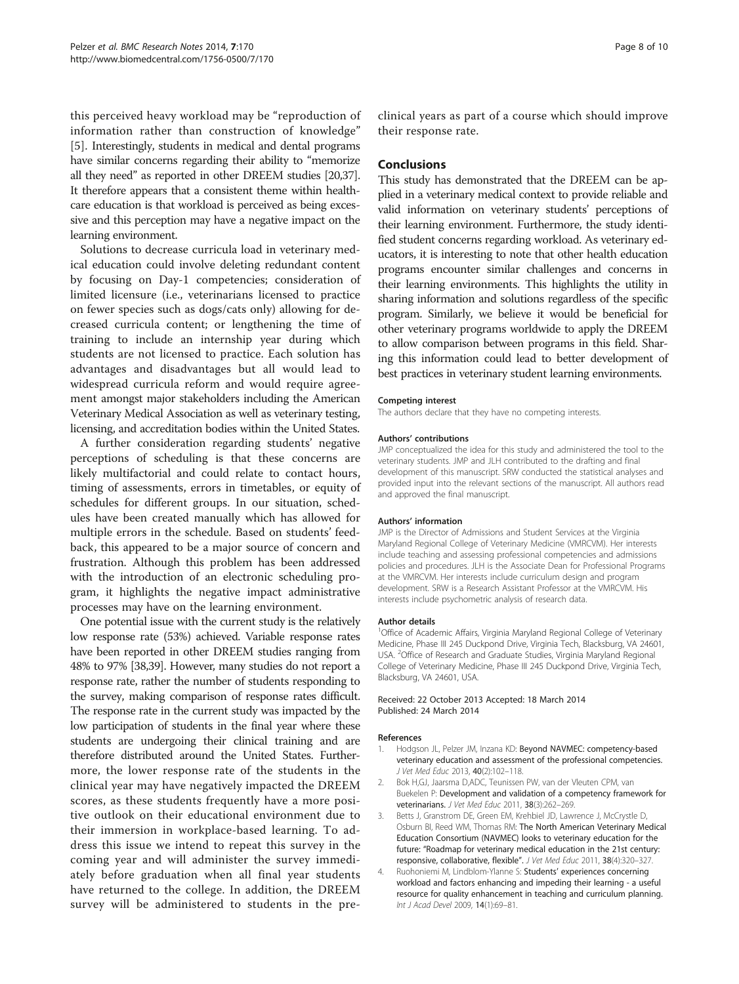<span id="page-7-0"></span>this perceived heavy workload may be "reproduction of information rather than construction of knowledge" [[5](#page-8-0)]. Interestingly, students in medical and dental programs have similar concerns regarding their ability to "memorize all they need" as reported in other DREEM studies [[20,37](#page-8-0)]. It therefore appears that a consistent theme within healthcare education is that workload is perceived as being excessive and this perception may have a negative impact on the learning environment.

Solutions to decrease curricula load in veterinary medical education could involve deleting redundant content by focusing on Day-1 competencies; consideration of limited licensure (i.e., veterinarians licensed to practice on fewer species such as dogs/cats only) allowing for decreased curricula content; or lengthening the time of training to include an internship year during which students are not licensed to practice. Each solution has advantages and disadvantages but all would lead to widespread curricula reform and would require agreement amongst major stakeholders including the American Veterinary Medical Association as well as veterinary testing, licensing, and accreditation bodies within the United States.

A further consideration regarding students' negative perceptions of scheduling is that these concerns are likely multifactorial and could relate to contact hours, timing of assessments, errors in timetables, or equity of schedules for different groups. In our situation, schedules have been created manually which has allowed for multiple errors in the schedule. Based on students' feedback, this appeared to be a major source of concern and frustration. Although this problem has been addressed with the introduction of an electronic scheduling program, it highlights the negative impact administrative processes may have on the learning environment.

One potential issue with the current study is the relatively low response rate (53%) achieved. Variable response rates have been reported in other DREEM studies ranging from 48% to 97% [\[38,39](#page-8-0)]. However, many studies do not report a response rate, rather the number of students responding to the survey, making comparison of response rates difficult. The response rate in the current study was impacted by the low participation of students in the final year where these students are undergoing their clinical training and are therefore distributed around the United States. Furthermore, the lower response rate of the students in the clinical year may have negatively impacted the DREEM scores, as these students frequently have a more positive outlook on their educational environment due to their immersion in workplace-based learning. To address this issue we intend to repeat this survey in the coming year and will administer the survey immediately before graduation when all final year students have returned to the college. In addition, the DREEM survey will be administered to students in the preclinical years as part of a course which should improve their response rate.

#### Conclusions

This study has demonstrated that the DREEM can be applied in a veterinary medical context to provide reliable and valid information on veterinary students' perceptions of their learning environment. Furthermore, the study identified student concerns regarding workload. As veterinary educators, it is interesting to note that other health education programs encounter similar challenges and concerns in their learning environments. This highlights the utility in sharing information and solutions regardless of the specific program. Similarly, we believe it would be beneficial for other veterinary programs worldwide to apply the DREEM to allow comparison between programs in this field. Sharing this information could lead to better development of best practices in veterinary student learning environments.

#### Competing interest

The authors declare that they have no competing interests.

#### Authors' contributions

JMP conceptualized the idea for this study and administered the tool to the veterinary students. JMP and JLH contributed to the drafting and final development of this manuscript. SRW conducted the statistical analyses and provided input into the relevant sections of the manuscript. All authors read and approved the final manuscript.

#### Authors' information

JMP is the Director of Admissions and Student Services at the Virginia Maryland Regional College of Veterinary Medicine (VMRCVM). Her interests include teaching and assessing professional competencies and admissions policies and procedures. JLH is the Associate Dean for Professional Programs at the VMRCVM. Her interests include curriculum design and program development. SRW is a Research Assistant Professor at the VMRCVM. His interests include psychometric analysis of research data.

#### Author details

<sup>1</sup>Office of Academic Affairs, Virginia Maryland Regional College of Veterinary Medicine, Phase III 245 Duckpond Drive, Virginia Tech, Blacksburg, VA 24601, USA. <sup>2</sup>Office of Research and Graduate Studies, Virginia Maryland Regional College of Veterinary Medicine, Phase III 245 Duckpond Drive, Virginia Tech, Blacksburg, VA 24601, USA.

#### Received: 22 October 2013 Accepted: 18 March 2014 Published: 24 March 2014

#### References

- 1. Hodgson JL, Pelzer JM, Inzana KD: Beyond NAVMEC: competency-based veterinary education and assessment of the professional competencies. J Vet Med Educ 2013, 40(2):102–118.
- 2. Bok H,GJ, Jaarsma D,ADC, Teunissen PW, van der Vleuten CPM, van Buekelen P: Development and validation of a competency framework for veterinarians. J Vet Med Educ 2011, 38(3):262–269.
- Betts J, Granstrom DE, Green EM, Krehbiel JD, Lawrence J, McCrystle D, Osburn BI, Reed WM, Thomas RM: The North American Veterinary Medical Education Consortium (NAVMEC) looks to veterinary education for the future: "Roadmap for veterinary medical education in the 21st century: responsive, collaborative, flexible". J Vet Med Educ 2011, 38(4):320–327.
- 4. Ruohoniemi M, Lindblom-Ylanne S: Students' experiences concerning workload and factors enhancing and impeding their learning - a useful resource for quality enhancement in teaching and curriculum planning. Int J Acad Devel 2009, 14(1):69–81.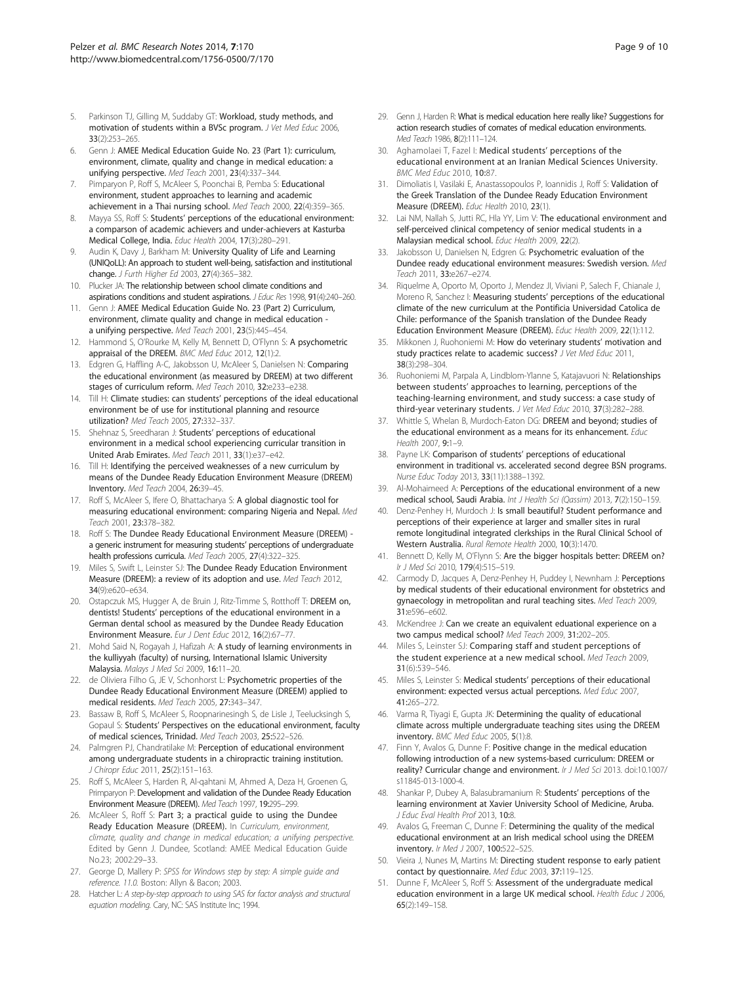- <span id="page-8-0"></span>5. Parkinson TJ, Gilling M, Suddaby GT: Workload, study methods, and motivation of students within a BVSc program. J Vet Med Educ 2006, 33(2):253–265.
- 6. Genn J: AMEE Medical Education Guide No. 23 (Part 1): curriculum, environment, climate, quality and change in medical education: a unifying perspective. Med Teach 2001, 23(4):337–344.
- 7. Pimparyon P, Roff S, McAleer S, Poonchai B, Pemba S: Educational environment, student approaches to learning and academic achievement in a Thai nursing school. Med Teach 2000, 22(4):359–365.
- Mayya SS, Roff S: Students' perceptions of the educational environment: a comparson of academic achievers and under-achievers at Kasturba Medical College, India. Educ Health 2004, 17(3):280–291.
- Audin K, Davy J, Barkham M: University Quality of Life and Learning (UNIQoLL): An approach to student well-being, satisfaction and institutional change. J Furth Higher Ed 2003, 27(4):365–382.
- 10. Plucker JA: The relationship between school climate conditions and aspirations conditions and student aspirations. J Educ Res 1998, 91(4):240-260.
- 11. Genn J: AMEE Medical Education Guide No. 23 (Part 2) Curriculum, environment, climate quality and change in medical education a unifying perspective. Med Teach 2001, 23(5):445–454.
- 12. Hammond S, O'Rourke M, Kelly M, Bennett D, O'Flynn S: A psychometric appraisal of the DREEM. BMC Med Educ 2012, 12(1):2.
- 13. Edgren G, Haffling A-C, Jakobsson U, McAleer S, Danielsen N: Comparing the educational environment (as measured by DREEM) at two different stages of curriculum reform. Med Teach 2010, 32:e233–e238.
- 14. Till H: Climate studies: can students' perceptions of the ideal educational environment be of use for institutional planning and resource utilization? Med Teach 2005, 27:332–337.
- Shehnaz S, Sreedharan J: Students' perceptions of educational environment in a medical school experiencing curricular transition in United Arab Emirates. Med Teach 2011, 33(1):e37–e42.
- 16. Till H: Identifying the perceived weaknesses of a new curriculum by means of the Dundee Ready Education Environment Measure (DREEM) Inventory. Med Teach 2004, 26:39–45.
- 17. Roff S, McAleer S, Ifere O, Bhattacharya S: A global diagnostic tool for measuring educational environment: comparing Nigeria and Nepal. Med Teach 2001, 23:378-382.
- 18. Roff S: The Dundee Ready Educational Environment Measure (DREEM) a generic instrument for measuring students' perceptions of undergraduate health professions curricula. Med Teach 2005, 27(4):322–325.
- 19. Miles S, Swift L, Leinster SJ: The Dundee Ready Education Environment Measure (DREEM): a review of its adoption and use. Med Teach 2012, 34(9):e620–e634.
- 20. Ostapczuk MS, Hugger A, de Bruin J, Ritz-Timme S, Rotthoff T: DREEM on, dentists! Students' perceptions of the educational environment in a German dental school as measured by the Dundee Ready Education Environment Measure. Eur J Dent Educ 2012, 16(2):67–77.
- 21. Mohd Said N, Rogayah J, Hafizah A: A study of learning environments in the kulliyyah (faculty) of nursing, International Islamic University Malaysia. Malays J Med Sci 2009, 16:11–20.
- 22. de Oliviera Filho G, JE V, Schonhorst L: Psychometric properties of the Dundee Ready Educational Environment Measure (DREEM) applied to medical residents. Med Teach 2005, 27:343–347.
- 23. Bassaw B, Roff S, McAleer S, Roopnarinesingh S, de Lisle J, Teelucksingh S, Gopaul S: Students' Perspectives on the educational environment, faculty of medical sciences, Trinidad. Med Teach 2003, 25:522–526.
- 24. Palmgren PJ, Chandratilake M: Perception of educational environment among undergraduate students in a chiropractic training institution. J Chiropr Educ 2011, 25(2):151–163.
- 25. Roff S, McAleer S, Harden R, Al-qahtani M, Ahmed A, Deza H, Groenen G, Primparyon P: Development and validation of the Dundee Ready Education Environment Measure (DREEM). Med Teach 1997, 19:295–299.
- 26. McAleer S, Roff S: Part 3; a practical guide to using the Dundee Ready Education Measure (DREEM). In Curriculum, environment, climate, quality and change in medical education; a unifying perspective. Edited by Genn J. Dundee, Scotland: AMEE Medical Education Guide No.23; 2002:29–33.
- 27. George D, Mallery P: SPSS for Windows step by step: A simple guide and reference. 11.0. Boston: Allyn & Bacon; 2003.
- 28. Hatcher L: A step-by-step approach to using SAS for factor analysis and structural equation modeling. Cary, NC: SAS Institute Inc; 1994.
- 29. Genn J, Harden R: What is medical education here really like? Suggestions for action research studies of comates of medical education environments. Med Teach 1986, 8(2):111–124.
- 30. Aghamolaei T, Fazel I: Medical students' perceptions of the educational environment at an Iranian Medical Sciences University. BMC Med Educ 2010, 10:87.
- 31. Dimoliatis I, Vasilaki E, Anastassopoulos P, Ioannidis J, Roff S: Validation of the Greek Translation of the Dundee Ready Education Environment Measure (DREEM). Educ Health 2010, 23(1).
- 32. Lai NM, Nallah S, Jutti RC, Hla YY, Lim V: The educational environment and self-perceived clinical competency of senior medical students in a Malaysian medical school. Educ Health 2009, 22(2).
- 33. Jakobsson U, Danielsen N, Edgren G: Psychometric evaluation of the Dundee ready educational environment measures: Swedish version. Med Teach 2011, 33:e267–e274.
- 34. Riquelme A, Oporto M, Oporto J, Mendez JI, Viviani P, Salech F, Chianale J, Moreno R, Sanchez I: Measuring students' perceptions of the educational climate of the new curriculum at the Pontificia Universidad Catolica de Chile: performance of the Spanish translation of the Dundee Ready Education Environment Measure (DREEM). Educ Health 2009, 22(1):112.
- 35. Mikkonen J, Ruohoniemi M: How do veterinary students' motivation and study practices relate to academic success? J Vet Med Educ 2011, 38(3):298–304.
- 36. Ruohoniemi M, Parpala A, Lindblom-Ylanne S, Katajavuori N: Relationships between students' approaches to learning, perceptions of the teaching-learning environment, and study success: a case study of third-year veterinary students. J Vet Med Educ 2010, 37(3):282–288.
- 37. Whittle S, Whelan B, Murdoch-Faton DG: DREEM and beyond: studies of the educational environment as a means for its enhancement. Educ Health 2007, 9:1–9.
- 38. Payne LK: Comparison of students' perceptions of educational environment in traditional vs. accelerated second degree BSN programs. Nurse Educ Today 2013, 33(11):1388–1392.
- Al-Mohaimeed A: Perceptions of the educational environment of a new medical school, Saudi Arabia. Int J Health Sci (Oassim) 2013, 7(2):150–159.
- 40. Denz-Penhey H, Murdoch J: Is small beautiful? Student performance and perceptions of their experience at larger and smaller sites in rural remote longitudinal integrated clerkships in the Rural Clinical School of Western Australia. Rural Remote Health 2000, 10(3):1470.
- 41. Bennett D, Kelly M, O'Flynn S: Are the bigger hospitals better: DREEM on? Ir J Med Sci 2010, 179(4):515–519.
- 42. Carmody D, Jacques A, Denz-Penhey H, Puddey I, Newnham J: Perceptions by medical students of their educational environment for obstetrics and gynaecology in metropolitan and rural teaching sites. Med Teach 2009, 31:e596–e602.
- 43. McKendree J: Can we create an equivalent eduational experience on a two campus medical school? Med Teach 2009, 31:202–205.
- 44. Miles S, Leinster SJ: Comparing staff and student perceptions of the student experience at a new medical school. Med Teach 2009, 31(6):539–546.
- 45. Miles S, Leinster S: Medical students' perceptions of their educational environment: expected versus actual perceptions. Med Educ 2007, 41:265–272.
- 46. Varma R, Tiyagi E, Gupta JK: Determining the quality of educational climate across multiple undergraduate teaching sites using the DREEM inventory. BMC Med Educ 2005, 5(1):8.
- 47. Finn Y, Avalos G, Dunne F: Positive change in the medical education following introduction of a new systems-based curriculum: DREEM or reality? Curricular change and environment. Ir J Med Sci 2013. doi:10.1007/ s11845-013-1000-4.
- 48. Shankar P, Dubey A, Balasubramanium R: Students' perceptions of the learning environment at Xavier University School of Medicine, Aruba. J Educ Eval Health Prof 2013, 10:8.
- 49. Avalos G, Freeman C, Dunne F: Determining the quality of the medical educational environment at an Irish medical school using the DREEM inventory. Ir Med J 2007, 100:522–525.
- 50. Vieira J, Nunes M, Martins M: Directing student response to early patient contact by questionnaire. Med Educ 2003, 37:119–125.
- 51. Dunne F, McAleer S, Roff S: Assessment of the undergraduate medical education environment in a large UK medical school. Health Educ J 2006, 65(2):149–158.